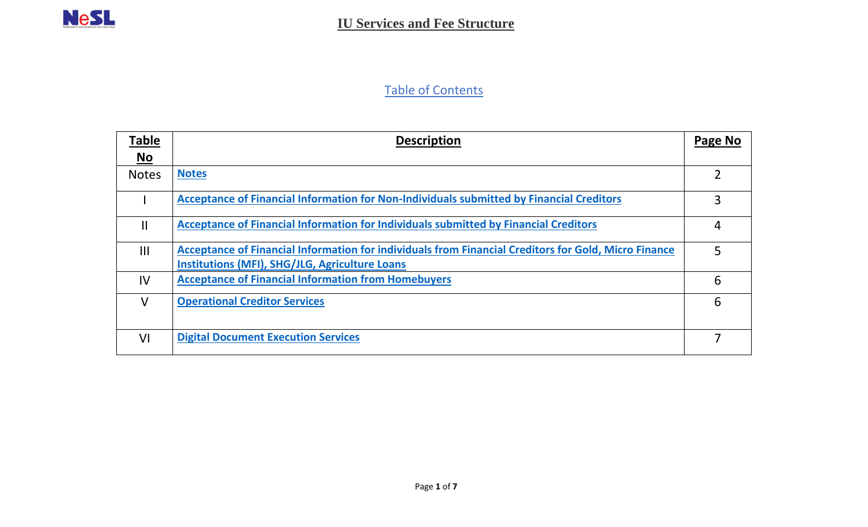## Table of Contents

| <b>Table</b> | <b>Description</b>                                                                                                                                            | Page No        |
|--------------|---------------------------------------------------------------------------------------------------------------------------------------------------------------|----------------|
| No           |                                                                                                                                                               |                |
| <b>Notes</b> | <b>Notes</b>                                                                                                                                                  | $\overline{2}$ |
|              | Acceptance of Financial Information for Non-Individuals submitted by Financial Creditors                                                                      | 3              |
| $\mathbf{I}$ | Acceptance of Financial Information for Individuals submitted by Financial Creditors                                                                          | 4              |
| III          | Acceptance of Financial Information for individuals from Financial Creditors for Gold, Micro Finance<br><b>Institutions (MFI), SHG/JLG, Agriculture Loans</b> | 5              |
| IV           | <b>Acceptance of Financial Information from Homebuyers</b>                                                                                                    | 6              |
| $\vee$       | <b>Operational Creditor Services</b>                                                                                                                          | 6              |
| VI           | <b>Digital Document Execution Services</b>                                                                                                                    |                |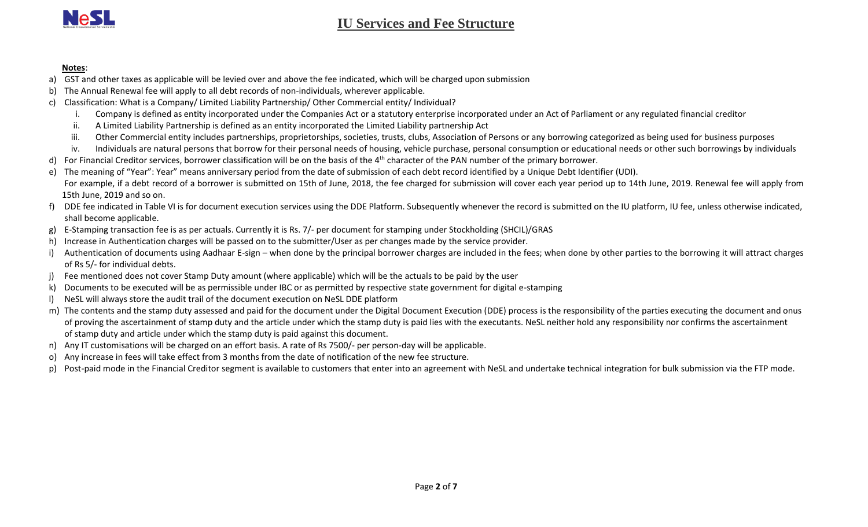

## **IU Services and Fee Structure**

## <span id="page-1-0"></span>**Notes**:

- a) GST and other taxes as applicable will be levied over and above the fee indicated, which will be charged upon submission
- b) The Annual Renewal fee will apply to all debt records of non-individuals, wherever applicable.
- c) Classification: What is a Company/ Limited Liability Partnership/ Other Commercial entity/ Individual?
	- i. Company is defined as entity incorporated under the Companies Act or a statutory enterprise incorporated under an Act of Parliament or any regulated financial creditor
	- ii. A Limited Liability Partnership is defined as an entity incorporated the Limited Liability partnership Act
	- iii. Other Commercial entity includes partnerships, proprietorships, societies, trusts, clubs, Association of Persons or any borrowing categorized as being used for business purposes
	- iv. Individuals are natural persons that borrow for their personal needs of housing, vehicle purchase, personal consumption or educational needs or other such borrowings by individuals
- d) For Financial Creditor services, borrower classification will be on the basis of the  $4<sup>th</sup>$  character of the PAN number of the primary borrower.
- e) The meaning of "Year": Year" means anniversary period from the date of submission of each debt record identified by a Unique Debt Identifier (UDI). For example, if a debt record of a borrower is submitted on 15th of June, 2018, the fee charged for submission will cover each year period up to 14th June, 2019. Renewal fee will apply from 15th June, 2019 and so on.
- DDE fee indicated in Table VI is for document execution services using the DDE Platform. Subsequently whenever the record is submitted on the IU platform, IU fee, unless otherwise indicated, shall become applicable.
- g) E-Stamping transaction fee is as per actuals. Currently it is Rs. 7/- per document for stamping under Stockholding (SHCIL)/GRAS
- h) Increase in Authentication charges will be passed on to the submitter/User as per changes made by the service provider.
- Authentication of documents using Aadhaar E-sign when done by the principal borrower charges are included in the fees; when done by other parties to the borrowing it will attract charges of Rs 5/- for individual debts.
- j) Fee mentioned does not cover Stamp Duty amount (where applicable) which will be the actuals to be paid by the user
- k) Documents to be executed will be as permissible under IBC or as permitted by respective state government for digital e-stamping
- l) NeSL will always store the audit trail of the document execution on NeSL DDE platform
- m) The contents and the stamp duty assessed and paid for the document under the Digital Document Execution (DDE) process is the responsibility of the parties executing the document and onus of proving the ascertainment of stamp duty and the article under which the stamp duty is paid lies with the executants. NeSL neither hold any responsibility nor confirms the ascertainment of stamp duty and article under which the stamp duty is paid against this document.
- n) Any IT customisations will be charged on an effort basis. A rate of Rs 7500/- per person-day will be applicable.
- o) Any increase in fees will take effect from 3 months from the date of notification of the new fee structure.
- p) Post-paid mode in the Financial Creditor segment is available to customers that enter into an agreement with NeSL and undertake technical integration for bulk submission via the FTP mode.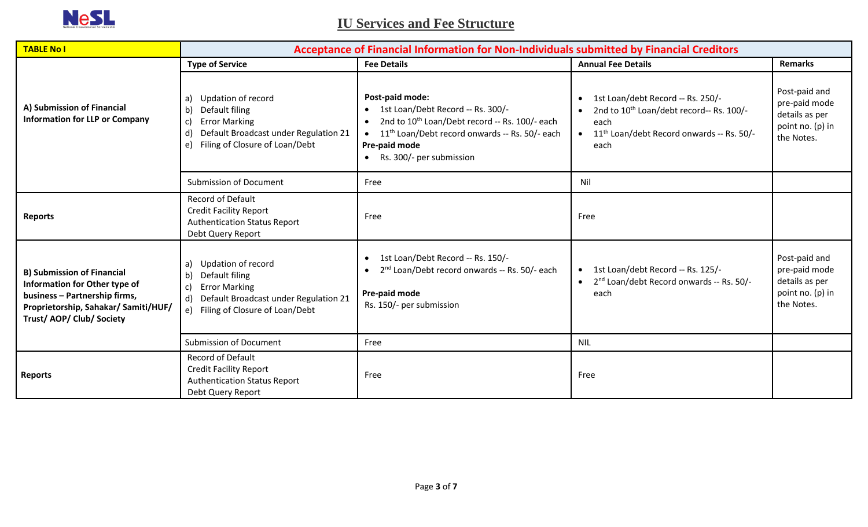

<span id="page-2-0"></span> **IU Services and Fee Structure**

| <b>TABLE No I</b>                                                                                                                                                        | Acceptance of Financial Information for Non-Individuals submitted by Financial Creditors                                                                                                 |                                                                                                                                                                                                                                                           |                                                                                                                                                                                              |                                                                                    |
|--------------------------------------------------------------------------------------------------------------------------------------------------------------------------|------------------------------------------------------------------------------------------------------------------------------------------------------------------------------------------|-----------------------------------------------------------------------------------------------------------------------------------------------------------------------------------------------------------------------------------------------------------|----------------------------------------------------------------------------------------------------------------------------------------------------------------------------------------------|------------------------------------------------------------------------------------|
|                                                                                                                                                                          | <b>Type of Service</b>                                                                                                                                                                   | <b>Fee Details</b>                                                                                                                                                                                                                                        | <b>Annual Fee Details</b>                                                                                                                                                                    | <b>Remarks</b>                                                                     |
| A) Submission of Financial<br><b>Information for LLP or Company</b>                                                                                                      | Updation of record<br>a)<br>$\mathsf{b}$<br>Default filing<br><b>Error Marking</b><br>c)<br>Default Broadcast under Regulation 21<br>d)<br>Filing of Closure of Loan/Debt<br>e)          | Post-paid mode:<br>1st Loan/Debt Record -- Rs. 300/-<br>$\bullet$<br>2nd to 10 <sup>th</sup> Loan/Debt record -- Rs. 100/- each<br>11 <sup>th</sup> Loan/Debt record onwards -- Rs. 50/- each<br>$\bullet$<br>Pre-paid mode<br>• Rs. 300/- per submission | 1st Loan/debt Record -- Rs. 250/-<br>$\bullet$<br>2nd to 10 <sup>th</sup> Loan/debt record-- Rs. 100/-<br>each<br>11 <sup>th</sup> Loan/debt Record onwards -- Rs. 50/-<br>$\bullet$<br>each | Post-paid and<br>pre-paid mode<br>details as per<br>point no. (p) in<br>the Notes. |
|                                                                                                                                                                          | <b>Submission of Document</b>                                                                                                                                                            | Free                                                                                                                                                                                                                                                      | Nil                                                                                                                                                                                          |                                                                                    |
| <b>Reports</b>                                                                                                                                                           | Record of Default<br><b>Credit Facility Report</b><br><b>Authentication Status Report</b><br>Debt Query Report                                                                           | Free                                                                                                                                                                                                                                                      | Free                                                                                                                                                                                         |                                                                                    |
| <b>B) Submission of Financial</b><br>Information for Other type of<br>business - Partnership firms,<br>Proprietorship, Sahakar/ Samiti/HUF/<br>Trust/ AOP/ Club/ Society | Updation of record<br>a)<br>Default filing<br>$\mathsf{b}$<br><b>Error Marking</b><br>$\mathbf c$<br>Default Broadcast under Regulation 21<br>d)<br>Filing of Closure of Loan/Debt<br>e) | 1st Loan/Debt Record -- Rs. 150/-<br>$\bullet$<br>2 <sup>nd</sup> Loan/Debt record onwards -- Rs. 50/- each<br>$\bullet$<br>Pre-paid mode<br>Rs. 150/- per submission                                                                                     | 1st Loan/debt Record -- Rs. 125/-<br>$\bullet$<br>2 <sup>nd</sup> Loan/debt Record onwards -- Rs. 50/-<br>$\bullet$<br>each                                                                  | Post-paid and<br>pre-paid mode<br>details as per<br>point no. (p) in<br>the Notes. |
|                                                                                                                                                                          | <b>Submission of Document</b>                                                                                                                                                            | Free                                                                                                                                                                                                                                                      | <b>NIL</b>                                                                                                                                                                                   |                                                                                    |
| <b>Reports</b>                                                                                                                                                           | Record of Default<br><b>Credit Facility Report</b><br><b>Authentication Status Report</b><br>Debt Query Report                                                                           | Free                                                                                                                                                                                                                                                      | Free                                                                                                                                                                                         |                                                                                    |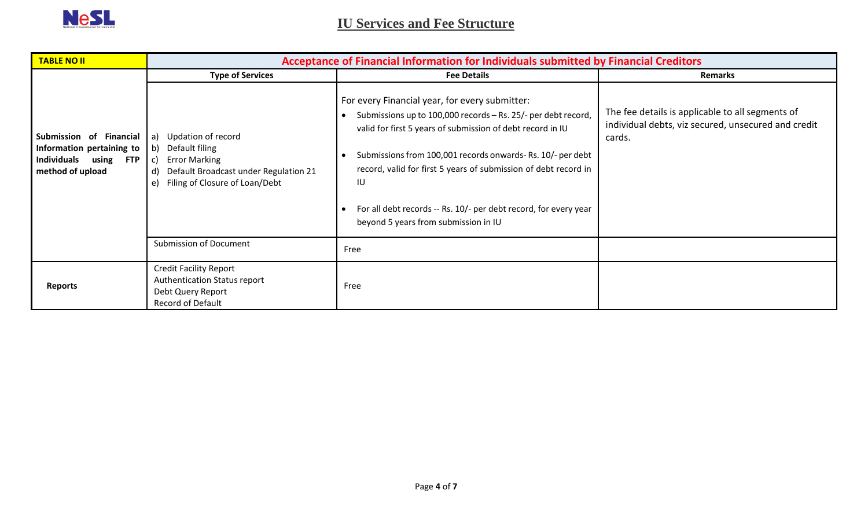<span id="page-3-0"></span>

| <b>TABLE NO II</b>                                                                                   | Acceptance of Financial Information for Individuals submitted by Financial Creditors                                                                                  |                                                                                                                                                                                                                                                                                                                                                                                                                                  |                                                                                                                   |  |
|------------------------------------------------------------------------------------------------------|-----------------------------------------------------------------------------------------------------------------------------------------------------------------------|----------------------------------------------------------------------------------------------------------------------------------------------------------------------------------------------------------------------------------------------------------------------------------------------------------------------------------------------------------------------------------------------------------------------------------|-------------------------------------------------------------------------------------------------------------------|--|
|                                                                                                      | <b>Type of Services</b>                                                                                                                                               | <b>Fee Details</b>                                                                                                                                                                                                                                                                                                                                                                                                               | <b>Remarks</b>                                                                                                    |  |
| Submission of Financial<br>Information pertaining to<br>Individuals<br>using FTP<br>method of upload | Updation of record<br>a)<br>b)<br>Default filing<br><b>Error Marking</b><br>C)<br>Default Broadcast under Regulation 21<br>d)<br>Filing of Closure of Loan/Debt<br>e) | For every Financial year, for every submitter:<br>Submissions up to 100,000 records - Rs. 25/- per debt record,<br>valid for first 5 years of submission of debt record in IU<br>Submissions from 100,001 records onwards-Rs. 10/- per debt<br>record, valid for first 5 years of submission of debt record in<br>IU<br>For all debt records -- Rs. 10/- per debt record, for every year<br>beyond 5 years from submission in IU | The fee details is applicable to all segments of<br>individual debts, viz secured, unsecured and credit<br>cards. |  |
|                                                                                                      | <b>Submission of Document</b>                                                                                                                                         | Free                                                                                                                                                                                                                                                                                                                                                                                                                             |                                                                                                                   |  |
| <b>Reports</b>                                                                                       | <b>Credit Facility Report</b><br>Authentication Status report<br>Debt Query Report<br>Record of Default                                                               | Free                                                                                                                                                                                                                                                                                                                                                                                                                             |                                                                                                                   |  |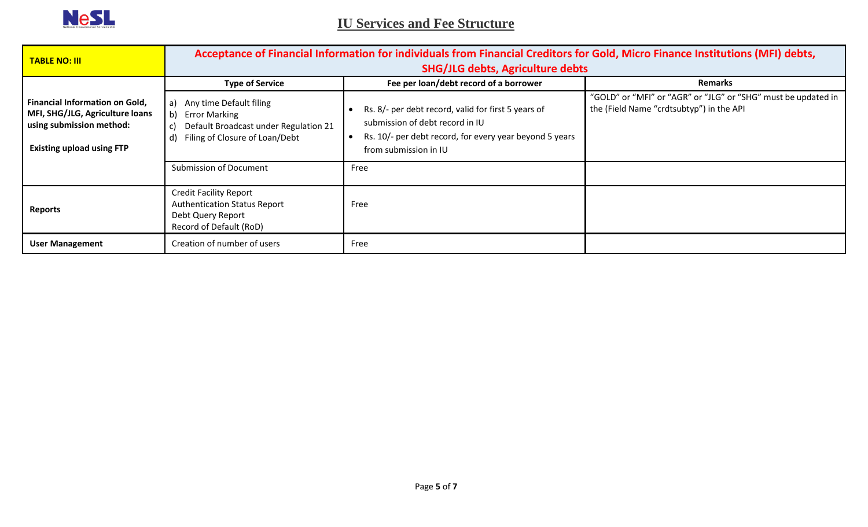

<span id="page-4-0"></span> **IU Services and Fee Structure**

| <b>TABLE NO: III</b>                                                                                                                     | Acceptance of Financial Information for individuals from Financial Creditors for Gold, Micro Finance Institutions (MFI) debts,<br><b>SHG/JLG debts, Agriculture debts</b> |                                                                                                                                                                            |                                                                                                           |
|------------------------------------------------------------------------------------------------------------------------------------------|---------------------------------------------------------------------------------------------------------------------------------------------------------------------------|----------------------------------------------------------------------------------------------------------------------------------------------------------------------------|-----------------------------------------------------------------------------------------------------------|
|                                                                                                                                          | <b>Type of Service</b>                                                                                                                                                    | Fee per loan/debt record of a borrower                                                                                                                                     | <b>Remarks</b>                                                                                            |
| <b>Financial Information on Gold,</b><br>MFI, SHG/JLG, Agriculture loans<br>using submission method:<br><b>Existing upload using FTP</b> | Any time Default filing<br>a)<br>b)<br><b>Error Marking</b><br>Default Broadcast under Regulation 21<br>C)<br>Filing of Closure of Loan/Debt<br>d)                        | Rs. 8/- per debt record, valid for first 5 years of<br>submission of debt record in IU<br>Rs. 10/- per debt record, for every year beyond 5 years<br>from submission in IU | "GOLD" or "MFI" or "AGR" or "JLG" or "SHG" must be updated in<br>the (Field Name "crdtsubtyp") in the API |
|                                                                                                                                          | <b>Submission of Document</b>                                                                                                                                             | Free                                                                                                                                                                       |                                                                                                           |
| <b>Reports</b>                                                                                                                           | <b>Credit Facility Report</b><br><b>Authentication Status Report</b><br>Debt Query Report<br>Record of Default (RoD)                                                      | Free                                                                                                                                                                       |                                                                                                           |
| <b>User Management</b>                                                                                                                   | Creation of number of users                                                                                                                                               | Free                                                                                                                                                                       |                                                                                                           |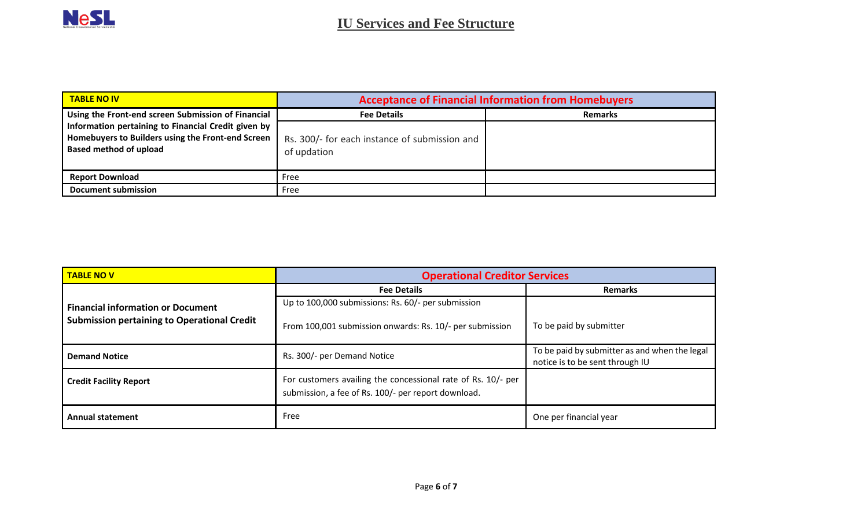<span id="page-5-0"></span>

| <b>TABLE NO IV</b>                                                                                                                        | <b>Acceptance of Financial Information from Homebuyers</b>   |                |  |
|-------------------------------------------------------------------------------------------------------------------------------------------|--------------------------------------------------------------|----------------|--|
| Using the Front-end screen Submission of Financial                                                                                        | <b>Fee Details</b>                                           | <b>Remarks</b> |  |
| Information pertaining to Financial Credit given by<br>Homebuyers to Builders using the Front-end Screen<br><b>Based method of upload</b> | Rs. 300/- for each instance of submission and<br>of updation |                |  |
| <b>Report Download</b>                                                                                                                    | Free                                                         |                |  |
| <b>Document submission</b>                                                                                                                | Free                                                         |                |  |

<span id="page-5-1"></span>

| <b>Operational Creditor Services</b><br><b>TABLE NOV</b> |                                                                                                                     |                                                                                  |
|----------------------------------------------------------|---------------------------------------------------------------------------------------------------------------------|----------------------------------------------------------------------------------|
|                                                          | <b>Fee Details</b>                                                                                                  | <b>Remarks</b>                                                                   |
| <b>Financial information or Document</b>                 | Up to 100,000 submissions: Rs. 60/- per submission                                                                  |                                                                                  |
| <b>Submission pertaining to Operational Credit</b>       | From 100,001 submission onwards: Rs. 10/- per submission                                                            | To be paid by submitter                                                          |
| <b>Demand Notice</b>                                     | Rs. 300/- per Demand Notice                                                                                         | To be paid by submitter as and when the legal<br>notice is to be sent through IU |
| <b>Credit Facility Report</b>                            | For customers availing the concessional rate of Rs. 10/- per<br>submission, a fee of Rs. 100/- per report download. |                                                                                  |
| <b>Annual statement</b>                                  | Free                                                                                                                | One per financial year                                                           |